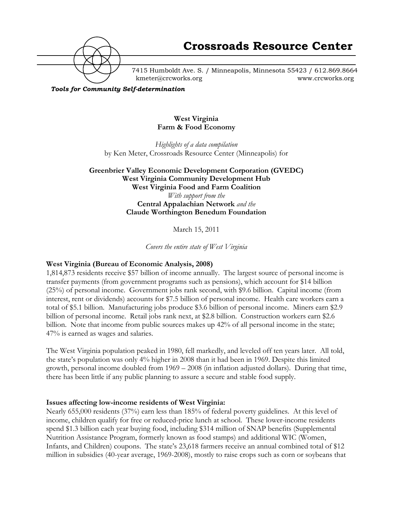

7415 Humboldt Ave. S. / Minneapolis, Minnesota 55423 / 612.869.8664 kmeter@crcworks.org www.crcworks.org

*Tools for Community Self-determination*

## **West Virginia Farm & Food Economy**

*Highlights of a data compilation* by Ken Meter, Crossroads Resource Center (Minneapolis) for

# **Greenbrier Valley Economic Development Corporation (GVEDC) West Virginia Community Development Hub West Virginia Food and Farm Coalition** *With support from the* **Central Appalachian Network** *and the* **Claude Worthington Benedum Foundation**

March 15, 2011

*Covers the entire state of West Virginia*

# **West Virginia (Bureau of Economic Analysis, 2008)**

1,814,873 residents receive \$57 billion of income annually. The largest source of personal income is transfer payments (from government programs such as pensions), which account for \$14 billion (25%) of personal income. Government jobs rank second, with \$9.6 billion. Capital income (from interest, rent or dividends) accounts for \$7.5 billion of personal income. Health care workers earn a total of \$5.1 billion. Manufacturing jobs produce \$3.6 billion of personal income. Miners earn \$2.9 billion of personal income. Retail jobs rank next, at \$2.8 billion. Construction workers earn \$2.6 billion. Note that income from public sources makes up 42% of all personal income in the state; 47% is earned as wages and salaries.

The West Virginia population peaked in 1980, fell markedly, and leveled off ten years later. All told, the state's population was only 4% higher in 2008 than it had been in 1969. Despite this limited growth, personal income doubled from 1969 – 2008 (in inflation adjusted dollars). During that time, there has been little if any public planning to assure a secure and stable food supply.

### **Issues affecting low-income residents of West Virginia:**

Nearly 655,000 residents (37%) earn less than 185% of federal poverty guidelines. At this level of income, children qualify for free or reduced-price lunch at school. These lower-income residents spend \$1.3 billion each year buying food, including \$314 million of SNAP benefits (Supplemental Nutrition Assistance Program, formerly known as food stamps) and additional WIC (Women, Infants, and Children) coupons. The state's 23,618 farmers receive an annual combined total of \$12 million in subsidies (40-year average, 1969-2008), mostly to raise crops such as corn or soybeans that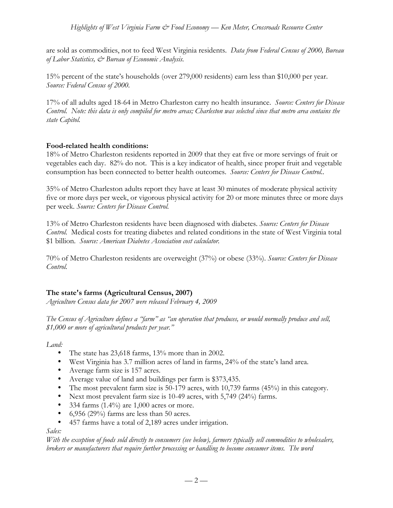*Highlights of West Virginia Farm & Food Economy — Ken Meter, Crossroads Resource Center*

are sold as commodities, not to feed West Virginia residents. *Data from Federal Census of 2000, Bureau of Labor Statistics, & Bureau of Economic Analysis.*

15% percent of the state's households (over 279,000 residents) earn less than \$10,000 per year. *Source: Federal Census of 2000.*

17% of all adults aged 18-64 in Metro Charleston carry no health insurance. *Source: Centers for Disease Control. Note: this data is only compiled for metro areas; Charleston was selected since that metro area contains the state Capitol.*

### **Food-related health conditions:**

18% of Metro Charleston residents reported in 2009 that they eat five or more servings of fruit or vegetables each day. 82% do not. This is a key indicator of health, since proper fruit and vegetable consumption has been connected to better health outcomes. *Source: Centers for Disease Control..*

35% of Metro Charleston adults report they have at least 30 minutes of moderate physical activity five or more days per week, or vigorous physical activity for 20 or more minutes three or more days per week. *Source: Centers for Disease Control.*

13% of Metro Charleston residents have been diagnosed with diabetes. *Source: Centers for Disease Control.* Medical costs for treating diabetes and related conditions in the state of West Virginia total \$1 billion. *Source: American Diabetes Association cost calculator.*

70% of Metro Charleston residents are overweight (37%) or obese (33%). *Source: Centers for Disease Control.*

# **The state's farms (Agricultural Census, 2007)**

*Agriculture Census data for 2007 were released February 4, 2009*

*The Census of Agriculture defines a "farm" as "an operation that produces, or would normally produce and sell, \$1,000 or more of agricultural products per year."*

*Land:*

- The state has 23,618 farms, 13% more than in 2002.
- West Virginia has 3.7 million acres of land in farms, 24% of the state's land area.
- Average farm size is 157 acres.
- Average value of land and buildings per farm is \$373,435.
- The most prevalent farm size is 50-179 acres, with 10,739 farms (45%) in this category.
- Next most prevalent farm size is 10-49 acres, with 5,749 (24%) farms.
- 334 farms  $(1.4\%)$  are 1,000 acres or more.
- 6,956 (29%) farms are less than 50 acres.
- 457 farms have a total of 2,189 acres under irrigation.

### *Sales:*

*With the exception of foods sold directly to consumers (see below), farmers typically sell commodities to wholesalers, brokers or manufacturers that require further processing or handling to become consumer items. The word*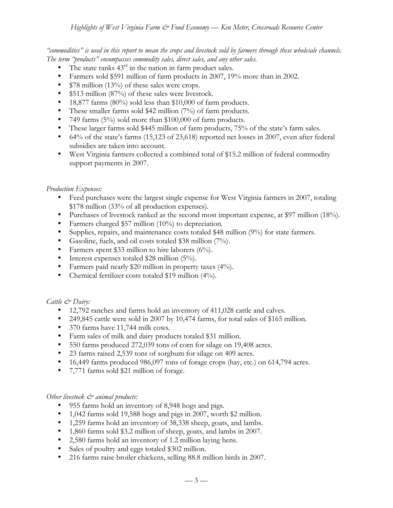*"commodities" is used in this report to mean the crops and livestock sold by farmers through these wholesale channels. The term "products" encompasses commodity sales, direct sales, and any other sales.*

- The state ranks  $43<sup>rd</sup>$  in the nation in farm product sales.
- Farmers sold \$591 million of farm products in 2007, 19% more than in 2002.
- \$78 million (13%) of these sales were crops.
- \$513 million (87%) of these sales were livestock.
- 18,877 farms (80%) sold less than \$10,000 of farm products.
- These smaller farms sold \$42 million (7%) of farm products.
- 749 farms (5%) sold more than \$100,000 of farm products.
- These larger farms sold \$445 million of farm products, 75% of the state's farm sales.
- 64% of the state's farms (15,123 of 23,618) reported net losses in 2007, even after federal subsidies are taken into account.
- West Virginia farmers collected a combined total of \$15.2 million of federal commodity support payments in 2007.

### *Production Expenses:*

- Feed purchases were the largest single expense for West Virginia farmers in 2007, totaling \$178 million (33% of all production expenses).
- Purchases of livestock ranked as the second most important expense, at \$97 million (18%).
- Farmers charged \$57 million (10%) to depreciation.
- Supplies, repairs, and maintenance costs totaled \$48 million (9%) for state farmers.
- Gasoline, fuels, and oil costs totaled \$38 million (7%).
- Farmers spent \$33 million to hire laborers (6%).
- Interest expenses totaled \$28 million (5%).
- Farmers paid nearly \$20 million in property taxes (4%).
- Chemical fertilizer costs totaled \$19 million (4%).

### *Cattle & Dairy:*

- 12,792 ranches and farms hold an inventory of 411,028 cattle and calves.
- 249,845 cattle were sold in 2007 by 10,474 farms, for total sales of \$165 million.
- 370 farms have 11,744 milk cows*.*
- Farm sales of milk and dairy products totaled \$31 million.
- 550 farms produced 272,039 tons of corn for silage on 19,408 acres.
- 23 farms raised 2,539 tons of sorghum for silage on 409 acres.
- 16,449 farms produced 986,097 tons of forage crops (hay, etc.) on 614,794 acres.
- 7,771 farms sold \$21 million of forage.

### *Other livestock*  $\mathcal{O}^*$  animal products:

- 955 farms hold an inventory of 8,948 hogs and pigs.
- 1,042 farms sold 19,588 hogs and pigs in 2007, worth \$2 million.
- 1,259 farms hold an inventory of 38,338 sheep, goats, and lambs.
- 1,860 farms sold \$3.2 million of sheep, goats, and lambs in 2007.
- 2,580 farms hold an inventory of 1.2 million laying hens.
- Sales of poultry and eggs totaled \$302 million.
- 216 farms raise broiler chickens, selling 88.8 million birds in 2007.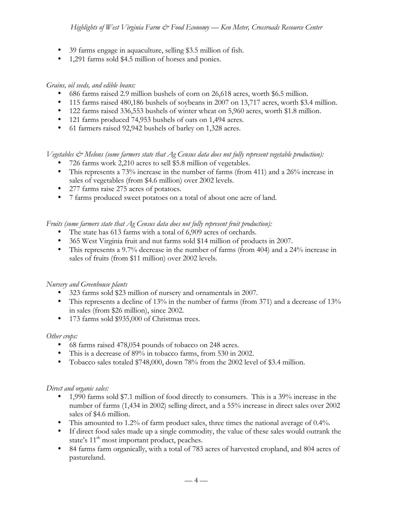- 39 farms engage in aquaculture, selling \$3.5 million of fish.
- 1,291 farms sold \$4.5 million of horses and ponies.

## *Grains, oil seeds, and edible beans:*

- 686 farms raised 2.9 million bushels of corn on 26,618 acres, worth \$6.5 million.
- 115 farms raised 480,186 bushels of soybeans in 2007 on 13,717 acres, worth \$3.4 million.
- 122 farms raised 336,553 bushels of winter wheat on 5,960 acres, worth \$1.8 million.
- 121 farms produced 74,953 bushels of oats on 1,494 acres.
- 61 farmers raised 92,942 bushels of barley on 1,328 acres.

*Vegetables & Melons (some farmers state that Ag Census data does not fully represent vegetable production):*

- 726 farms work 2,210 acres to sell \$5.8 million of vegetables.
- This represents a 73% increase in the number of farms (from 411) and a 26% increase in sales of vegetables (from \$4.6 million) over 2002 levels.
- 277 farms raise 275 acres of potatoes.
- 7 farms produced sweet potatoes on a total of about one acre of land.

*Fruits (some farmers state that Ag Census data does not fully represent fruit production):*

- The state has 613 farms with a total of 6,909 acres of orchards.
- 365 West Virginia fruit and nut farms sold \$14 million of products in 2007.
- This represents a 9.7% decrease in the number of farms (from 404) and a 24% increase in sales of fruits (from \$11 million) over 2002 levels.

# *Nursery and Greenhouse plants*

- 323 farms sold \$23 million of nursery and ornamentals in 2007.
- This represents a decline of 13% in the number of farms (from 371) and a decrease of 13% in sales (from \$26 million), since 2002.
- 173 farms sold \$935,000 of Christmas trees.

### *Other crops:*

- 68 farms raised 478,054 pounds of tobacco on 248 acres.
- This is a decrease of 89% in tobacco farms, from 530 in 2002.
- Tobacco sales totaled \$748,000, down 78% from the 2002 level of \$3.4 million.

### *Direct and organic sales:*

- 1,990 farms sold \$7.1 million of food directly to consumers. This is a 39% increase in the number of farms (1,434 in 2002) selling direct, and a 55% increase in direct sales over 2002 sales of \$4.6 million.
- This amounted to 1.2% of farm product sales, three times the national average of 0.4%.
- If direct food sales made up a single commodity, the value of these sales would outrank the state's 11<sup>th</sup> most important product, peaches.
- 84 farms farm organically, with a total of 783 acres of harvested cropland, and 804 acres of pastureland.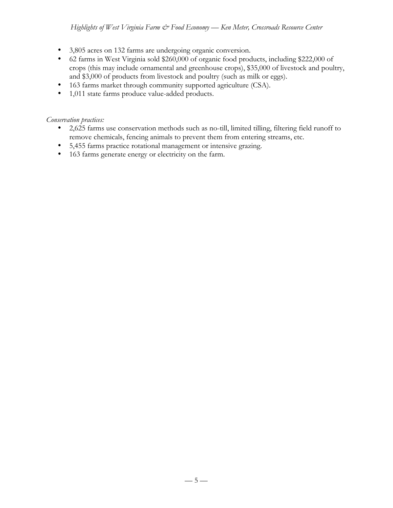## *Highlights of West Virginia Farm & Food Economy — Ken Meter, Crossroads Resource Center*

- 3,805 acres on 132 farms are undergoing organic conversion.
- 62 farms in West Virginia sold \$260,000 of organic food products, including \$222,000 of crops (this may include ornamental and greenhouse crops), \$35,000 of livestock and poultry, and \$3,000 of products from livestock and poultry (such as milk or eggs).
- 163 farms market through community supported agriculture (CSA).
- 1,011 state farms produce value-added products.

*Conservation practices:*

- 2,625 farms use conservation methods such as no-till, limited tilling, filtering field runoff to remove chemicals, fencing animals to prevent them from entering streams, etc.
- 5,455 farms practice rotational management or intensive grazing.
- 163 farms generate energy or electricity on the farm.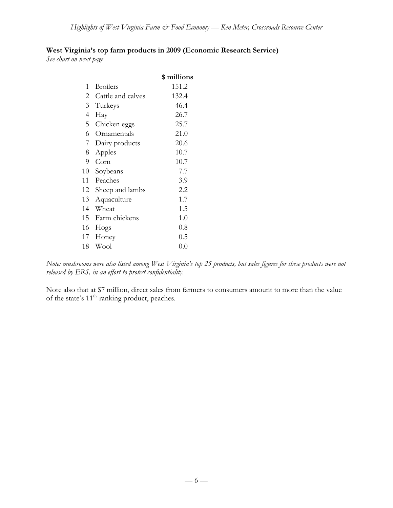# **West Virginia's top farm products in 2009 (Economic Research Service)**

*See chart on next page*

|    |                   | \$ millions |
|----|-------------------|-------------|
| 1  | <b>Broilers</b>   | 151.2       |
| 2  | Cattle and calves | 132.4       |
| 3  | Turkeys           | 46.4        |
| 4  | Hay               | 26.7        |
| 5  | Chicken eggs      | 25.7        |
| 6  | Ornamentals       | 21.0        |
| 7  | Dairy products    | 20.6        |
| 8  | Apples            | 10.7        |
| 9  | Corn              | 10.7        |
| 10 | Soybeans          | 7.7         |
| 11 | Peaches           | 3.9         |
| 12 | Sheep and lambs   | 2.2         |
| 13 | Aquaculture       | 1.7         |
| 14 | Wheat             | 1.5         |
| 15 | Farm chickens     | 1.0         |
| 16 | Hogs              | 0.8         |
| 17 | Honey             | 0.5         |
| 18 | Wool              | 0.0         |

*Note: mushrooms were also listed among West Virginia's top 25 products, but sales figures for these products were not released by ERS, in an effort to protect confidentiality.*

Note also that at \$7 million, direct sales from farmers to consumers amount to more than the value of the state's 11<sup>th</sup>-ranking product, peaches.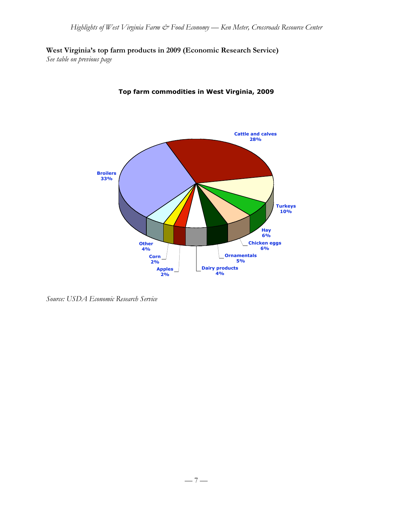**West Virginia's top farm products in 2009 (Economic Research Service)**

*See table on previous page*



# **Top farm commodities in West Virginia, 2009**

*Source: USDA Economic Research Service*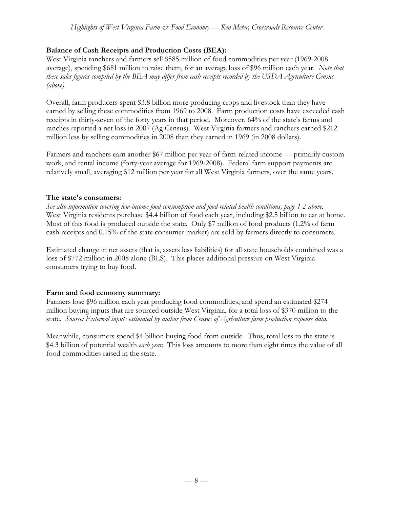## **Balance of Cash Receipts and Production Costs (BEA):**

West Virginia ranchers and farmers sell \$585 million of food commodities per year (1969-2008 average), spending \$681 million to raise them, for an average loss of \$96 million each year. *Note that these sales figures compiled by the BEA may differ from cash receipts recorded by the USDA Agriculture Census (above).*

Overall, farm producers spent \$3.8 billion more producing crops and livestock than they have earned by selling these commodities from 1969 to 2008. Farm production costs have exceeded cash receipts in thirty-seven of the forty years in that period. Moreover, 64% of the state's farms and ranches reported a net loss in 2007 (Ag Census). West Virginia farmers and ranchers earned \$212 million less by selling commodities in 2008 than they earned in 1969 (in 2008 dollars).

Farmers and ranchers earn another \$67 million per year of farm-related income — primarily custom work, and rental income (forty-year average for 1969-2008). Federal farm support payments are relatively small, averaging \$12 million per year for all West Virginia farmers, over the same years.

#### **The state's consumers:**

*See also information covering low-income food consumption and food-related health conditions, page 1-2 above.* West Virginia residents purchase \$4.4 billion of food each year, including \$2.5 billion to eat at home. Most of this food is produced outside the state. Only \$7 million of food products (1.2% of farm cash receipts and 0.15% of the state consumer market) are sold by farmers directly to consumers.

Estimated change in net assets (that is, assets less liabilities) for all state households combined was a loss of \$772 million in 2008 alone (BLS). This places additional pressure on West Virginia consumers trying to buy food.

### **Farm and food economy summary:**

Farmers lose \$96 million each year producing food commodities, and spend an estimated \$274 million buying inputs that are sourced outside West Virginia, for a total loss of \$370 million to the state. *Source: External inputs estimated by author from Census of Agriculture farm production expense data.*

Meanwhile, consumers spend \$4 billion buying food from outside. Thus, total loss to the state is \$4.3 billion of potential wealth *each year*. This loss amounts to more than eight times the value of all food commodities raised in the state.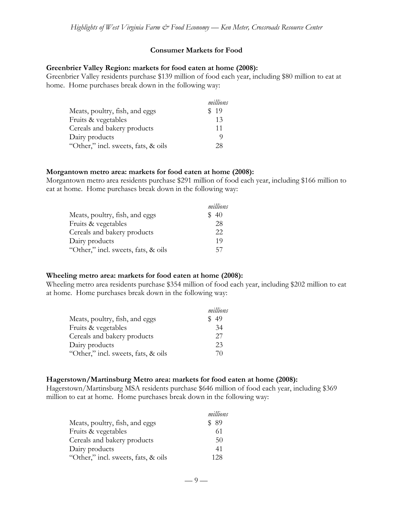#### **Consumer Markets for Food**

#### **Greenbrier Valley Region: markets for food eaten at home (2008):**

Greenbrier Valley residents purchase \$139 million of food each year, including \$80 million to eat at home. Home purchases break down in the following way:

|                                     | millions |
|-------------------------------------|----------|
| Meats, poultry, fish, and eggs      | \$19     |
| Fruits & vegetables                 | 13       |
| Cereals and bakery products         | 11       |
| Dairy products                      | O)       |
| "Other," incl. sweets, fats, & oils | 28       |

#### **Morgantown metro area: markets for food eaten at home (2008):**

Morgantown metro area residents purchase \$291 million of food each year, including \$166 million to eat at home. Home purchases break down in the following way:

|                                     | millions |
|-------------------------------------|----------|
| Meats, poultry, fish, and eggs      | \$40     |
| Fruits & vegetables                 | 28       |
| Cereals and bakery products         | 22       |
| Dairy products                      | 19       |
| "Other," incl. sweets, fats, & oils | 57       |

#### **Wheeling metro area: markets for food eaten at home (2008):**

Wheeling metro area residents purchase \$354 million of food each year, including \$202 million to eat at home. Home purchases break down in the following way:

|                                     | millions |
|-------------------------------------|----------|
| Meats, poultry, fish, and eggs      | 49       |
| Fruits & vegetables                 | 34       |
| Cereals and bakery products         | 27       |
| Dairy products                      | 23       |
| "Other," incl. sweets, fats, & oils | 70       |

#### **Hagerstown/Martinsburg Metro area: markets for food eaten at home (2008):**

Hagerstown/Martinsburg MSA residents purchase \$646 million of food each year, including \$369 million to eat at home. Home purchases break down in the following way:

|                                     | millions |
|-------------------------------------|----------|
| Meats, poultry, fish, and eggs      | -89      |
| Fruits & vegetables                 | 61       |
| Cereals and bakery products         | 50       |
| Dairy products                      | 41       |
| "Other," incl. sweets, fats, & oils | 128      |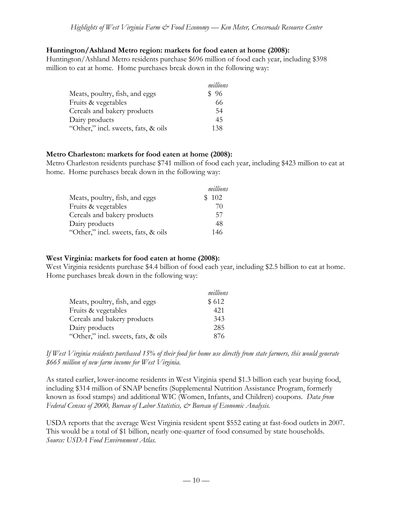#### **Huntington/Ashland Metro region: markets for food eaten at home (2008):**

Huntington/Ashland Metro residents purchase \$696 million of food each year, including \$398 million to eat at home. Home purchases break down in the following way:

|                                     | millions |
|-------------------------------------|----------|
| Meats, poultry, fish, and eggs      | \$96     |
| Fruits & vegetables                 | 66       |
| Cereals and bakery products         | 54       |
| Dairy products                      | 45       |
| "Other," incl. sweets, fats, & oils | 138      |

#### **Metro Charleston: markets for food eaten at home (2008):**

Metro Charleston residents purchase \$741 million of food each year, including \$423 million to eat at home. Home purchases break down in the following way:

|                                     | millions |
|-------------------------------------|----------|
| Meats, poultry, fish, and eggs      | \$102    |
| Fruits & vegetables                 | 70       |
| Cereals and bakery products         | 57       |
| Dairy products                      | 48       |
| "Other," incl. sweets, fats, & oils | 146      |

### **West Virginia: markets for food eaten at home (2008):**

West Virginia residents purchase \$4.4 billion of food each year, including \$2.5 billion to eat at home. Home purchases break down in the following way:

|                                     | millions |
|-------------------------------------|----------|
| Meats, poultry, fish, and eggs      | \$612    |
| Fruits & vegetables                 | 421      |
| Cereals and bakery products         | 343      |
| Dairy products                      | 285      |
| "Other," incl. sweets, fats, & oils | 876      |

*If West Virginia residents purchased 15% of their food for home use directly from state farmers, this would generate \$665 million of new farm income for West Virginia.*

As stated earlier, lower-income residents in West Virginia spend \$1.3 billion each year buying food, including \$314 million of SNAP benefits (Supplemental Nutrition Assistance Program, formerly known as food stamps) and additional WIC (Women, Infants, and Children) coupons. *Data from Federal Census of 2000, Bureau of Labor Statistics, & Bureau of Economic Analysis.*

USDA reports that the average West Virginia resident spent \$552 eating at fast-food outlets in 2007. This would be a total of \$1 billion, nearly one-quarter of food consumed by state households. *Source: USDA Food Environment Atlas.*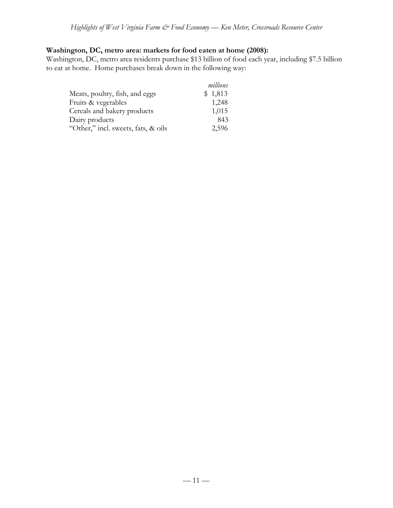# **Washington, DC, metro area: markets for food eaten at home (2008):**

Washington, DC, metro area residents purchase \$13 billion of food each year, including \$7.5 billion to eat at home. Home purchases break down in the following way:

|                                     | millions |
|-------------------------------------|----------|
| Meats, poultry, fish, and eggs      | \$1,813  |
| Fruits & vegetables                 | 1,248    |
| Cereals and bakery products         | 1,015    |
| Dairy products                      | 843      |
| "Other," incl. sweets, fats, & oils | 2,596    |